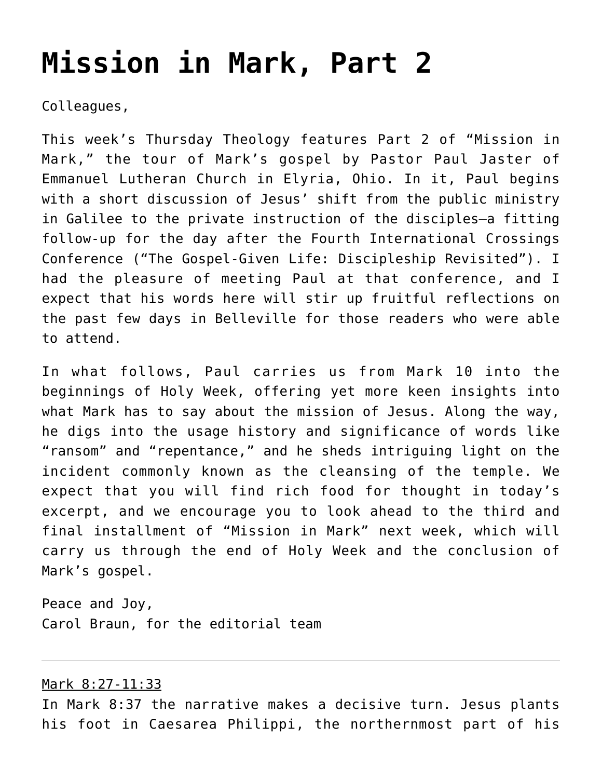# **[Mission in Mark, Part 2](https://crossings.org/mission-in-mark-part-2/)**

Colleagues,

This week's Thursday Theology features Part 2 of "Mission in Mark," the tour of Mark's gospel by Pastor Paul Jaster of Emmanuel Lutheran Church in Elyria, Ohio. In it, Paul begins with a short discussion of Jesus' shift from the public ministry in Galilee to the private instruction of the disciples—a fitting follow-up for the day after the Fourth International Crossings Conference ("The Gospel-Given Life: Discipleship Revisited"). I had the pleasure of meeting Paul at that conference, and I expect that his words here will stir up fruitful reflections on the past few days in Belleville for those readers who were able to attend.

In what follows, Paul carries us from Mark 10 into the beginnings of Holy Week, offering yet more keen insights into what Mark has to say about the mission of Jesus. Along the way, he digs into the usage history and significance of words like "ransom" and "repentance," and he sheds intriguing light on the incident commonly known as the cleansing of the temple. We expect that you will find rich food for thought in today's excerpt, and we encourage you to look ahead to the third and final installment of "Mission in Mark" next week, which will carry us through the end of Holy Week and the conclusion of Mark's gospel.

Peace and Joy, Carol Braun, for the editorial team

#### Mark 8:27-11:33

In Mark 8:37 the narrative makes a decisive turn. Jesus plants his foot in Caesarea Philippi, the northernmost part of his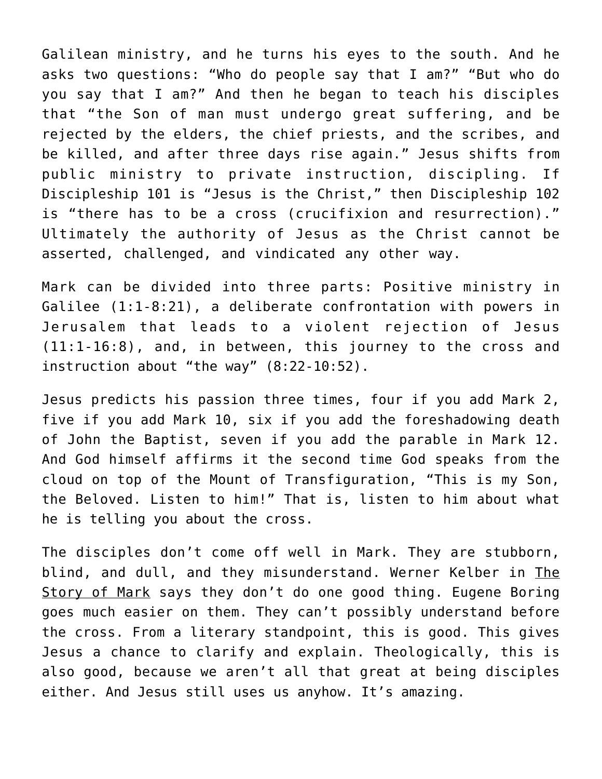Galilean ministry, and he turns his eyes to the south. And he asks two questions: "Who do people say that I am?" "But who do you say that I am?" And then he began to teach his disciples that "the Son of man must undergo great suffering, and be rejected by the elders, the chief priests, and the scribes, and be killed, and after three days rise again." Jesus shifts from public ministry to private instruction, discipling. If Discipleship 101 is "Jesus is the Christ," then Discipleship 102 is "there has to be a cross (crucifixion and resurrection)." Ultimately the authority of Jesus as the Christ cannot be asserted, challenged, and vindicated any other way.

Mark can be divided into three parts: Positive ministry in Galilee (1:1-8:21), a deliberate confrontation with powers in Jerusalem that leads to a violent rejection of Jesus (11:1-16:8), and, in between, this journey to the cross and instruction about "the way" (8:22-10:52).

Jesus predicts his passion three times, four if you add Mark 2, five if you add Mark 10, six if you add the foreshadowing death of John the Baptist, seven if you add the parable in Mark 12. And God himself affirms it the second time God speaks from the cloud on top of the Mount of Transfiguration, "This is my Son, the Beloved. Listen to him!" That is, listen to him about what he is telling you about the cross.

The disciples don't come off well in Mark. They are stubborn, blind, and dull, and they misunderstand. Werner Kelber in The Story of Mark says they don't do one good thing. Eugene Boring goes much easier on them. They can't possibly understand before the cross. From a literary standpoint, this is good. This gives Jesus a chance to clarify and explain. Theologically, this is also good, because we aren't all that great at being disciples either. And Jesus still uses us anyhow. It's amazing.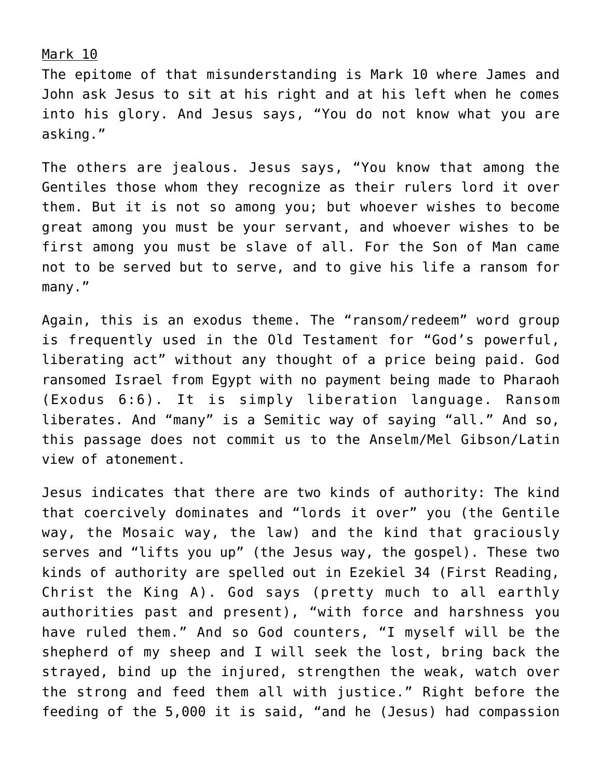Mark 10

The epitome of that misunderstanding is Mark 10 where James and John ask Jesus to sit at his right and at his left when he comes into his glory. And Jesus says, "You do not know what you are asking."

The others are jealous. Jesus says, "You know that among the Gentiles those whom they recognize as their rulers lord it over them. But it is not so among you; but whoever wishes to become great among you must be your servant, and whoever wishes to be first among you must be slave of all. For the Son of Man came not to be served but to serve, and to give his life a ransom for many."

Again, this is an exodus theme. The "ransom/redeem" word group is frequently used in the Old Testament for "God's powerful, liberating act" without any thought of a price being paid. God ransomed Israel from Egypt with no payment being made to Pharaoh (Exodus 6:6). It is simply liberation language. Ransom liberates. And "many" is a Semitic way of saying "all." And so, this passage does not commit us to the Anselm/Mel Gibson/Latin view of atonement.

Jesus indicates that there are two kinds of authority: The kind that coercively dominates and "lords it over" you (the Gentile way, the Mosaic way, the law) and the kind that graciously serves and "lifts you up" (the Jesus way, the gospel). These two kinds of authority are spelled out in Ezekiel 34 (First Reading, Christ the King A). God says (pretty much to all earthly authorities past and present), "with force and harshness you have ruled them." And so God counters, "I myself will be the shepherd of my sheep and I will seek the lost, bring back the strayed, bind up the injured, strengthen the weak, watch over the strong and feed them all with justice." Right before the feeding of the 5,000 it is said, "and he (Jesus) had compassion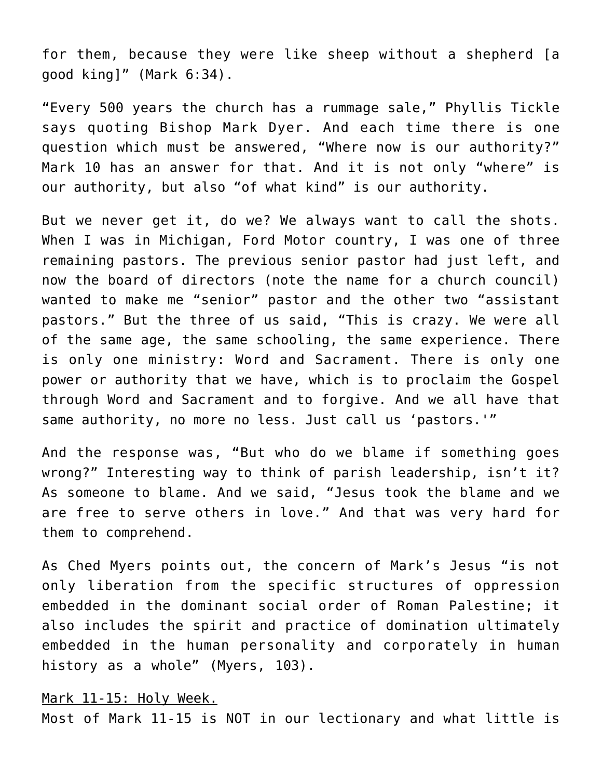for them, because they were like sheep without a shepherd [a good king]" (Mark 6:34).

"Every 500 years the church has a rummage sale," Phyllis Tickle says quoting Bishop Mark Dyer. And each time there is one question which must be answered, "Where now is our authority?" Mark 10 has an answer for that. And it is not only "where" is our authority, but also "of what kind" is our authority.

But we never get it, do we? We always want to call the shots. When I was in Michigan, Ford Motor country, I was one of three remaining pastors. The previous senior pastor had just left, and now the board of directors (note the name for a church council) wanted to make me "senior" pastor and the other two "assistant pastors." But the three of us said, "This is crazy. We were all of the same age, the same schooling, the same experience. There is only one ministry: Word and Sacrament. There is only one power or authority that we have, which is to proclaim the Gospel through Word and Sacrament and to forgive. And we all have that same authority, no more no less. Just call us 'pastors.'"

And the response was, "But who do we blame if something goes wrong?" Interesting way to think of parish leadership, isn't it? As someone to blame. And we said, "Jesus took the blame and we are free to serve others in love." And that was very hard for them to comprehend.

As Ched Myers points out, the concern of Mark's Jesus "is not only liberation from the specific structures of oppression embedded in the dominant social order of Roman Palestine; it also includes the spirit and practice of domination ultimately embedded in the human personality and corporately in human history as a whole" (Myers, 103).

Mark 11-15: Holy Week.

Most of Mark 11-15 is NOT in our lectionary and what little is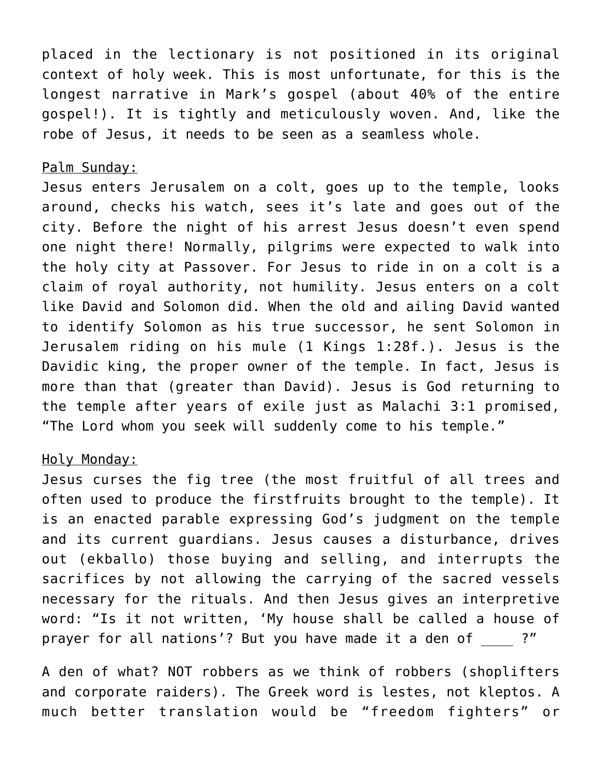placed in the lectionary is not positioned in its original context of holy week. This is most unfortunate, for this is the longest narrative in Mark's gospel (about 40% of the entire gospel!). It is tightly and meticulously woven. And, like the robe of Jesus, it needs to be seen as a seamless whole.

#### Palm Sunday:

Jesus enters Jerusalem on a colt, goes up to the temple, looks around, checks his watch, sees it's late and goes out of the city. Before the night of his arrest Jesus doesn't even spend one night there! Normally, pilgrims were expected to walk into the holy city at Passover. For Jesus to ride in on a colt is a claim of royal authority, not humility. Jesus enters on a colt like David and Solomon did. When the old and ailing David wanted to identify Solomon as his true successor, he sent Solomon in Jerusalem riding on his mule (1 Kings 1:28f.). Jesus is the Davidic king, the proper owner of the temple. In fact, Jesus is more than that (greater than David). Jesus is God returning to the temple after years of exile just as Malachi 3:1 promised, "The Lord whom you seek will suddenly come to his temple."

### Holy Monday:

Jesus curses the fig tree (the most fruitful of all trees and often used to produce the firstfruits brought to the temple). It is an enacted parable expressing God's judgment on the temple and its current guardians. Jesus causes a disturbance, drives out (ekballo) those buying and selling, and interrupts the sacrifices by not allowing the carrying of the sacred vessels necessary for the rituals. And then Jesus gives an interpretive word: "Is it not written, 'My house shall be called a house of prayer for all nations'? But you have made it a den of ?"

A den of what? NOT robbers as we think of robbers (shoplifters and corporate raiders). The Greek word is lestes, not kleptos. A much better translation would be "freedom fighters" or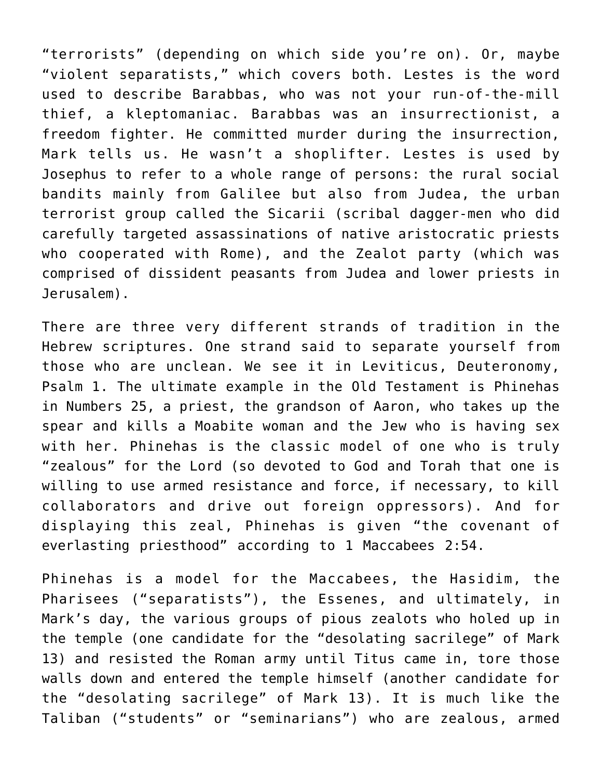"terrorists" (depending on which side you're on). Or, maybe "violent separatists," which covers both. Lestes is the word used to describe Barabbas, who was not your run-of-the-mill thief, a kleptomaniac. Barabbas was an insurrectionist, a freedom fighter. He committed murder during the insurrection, Mark tells us. He wasn't a shoplifter. Lestes is used by Josephus to refer to a whole range of persons: the rural social bandits mainly from Galilee but also from Judea, the urban terrorist group called the Sicarii (scribal dagger-men who did carefully targeted assassinations of native aristocratic priests who cooperated with Rome), and the Zealot party (which was comprised of dissident peasants from Judea and lower priests in Jerusalem).

There are three very different strands of tradition in the Hebrew scriptures. One strand said to separate yourself from those who are unclean. We see it in Leviticus, Deuteronomy, Psalm 1. The ultimate example in the Old Testament is Phinehas in Numbers 25, a priest, the grandson of Aaron, who takes up the spear and kills a Moabite woman and the Jew who is having sex with her. Phinehas is the classic model of one who is truly "zealous" for the Lord (so devoted to God and Torah that one is willing to use armed resistance and force, if necessary, to kill collaborators and drive out foreign oppressors). And for displaying this zeal, Phinehas is given "the covenant of everlasting priesthood" according to 1 Maccabees 2:54.

Phinehas is a model for the Maccabees, the Hasidim, the Pharisees ("separatists"), the Essenes, and ultimately, in Mark's day, the various groups of pious zealots who holed up in the temple (one candidate for the "desolating sacrilege" of Mark 13) and resisted the Roman army until Titus came in, tore those walls down and entered the temple himself (another candidate for the "desolating sacrilege" of Mark 13). It is much like the Taliban ("students" or "seminarians") who are zealous, armed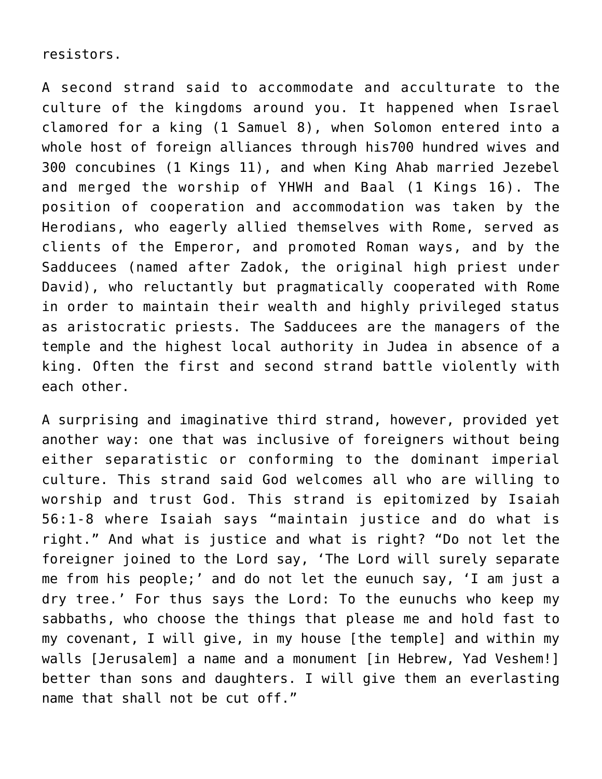resistors.

A second strand said to accommodate and acculturate to the culture of the kingdoms around you. It happened when Israel clamored for a king (1 Samuel 8), when Solomon entered into a whole host of foreign alliances through his700 hundred wives and 300 concubines (1 Kings 11), and when King Ahab married Jezebel and merged the worship of YHWH and Baal (1 Kings 16). The position of cooperation and accommodation was taken by the Herodians, who eagerly allied themselves with Rome, served as clients of the Emperor, and promoted Roman ways, and by the Sadducees (named after Zadok, the original high priest under David), who reluctantly but pragmatically cooperated with Rome in order to maintain their wealth and highly privileged status as aristocratic priests. The Sadducees are the managers of the temple and the highest local authority in Judea in absence of a king. Often the first and second strand battle violently with each other.

A surprising and imaginative third strand, however, provided yet another way: one that was inclusive of foreigners without being either separatistic or conforming to the dominant imperial culture. This strand said God welcomes all who are willing to worship and trust God. This strand is epitomized by Isaiah 56:1-8 where Isaiah says "maintain justice and do what is right." And what is justice and what is right? "Do not let the foreigner joined to the Lord say, 'The Lord will surely separate me from his people;' and do not let the eunuch say, 'I am just a dry tree.' For thus says the Lord: To the eunuchs who keep my sabbaths, who choose the things that please me and hold fast to my covenant, I will give, in my house [the temple] and within my walls [Jerusalem] a name and a monument [in Hebrew, Yad Veshem!] better than sons and daughters. I will give them an everlasting name that shall not be cut off."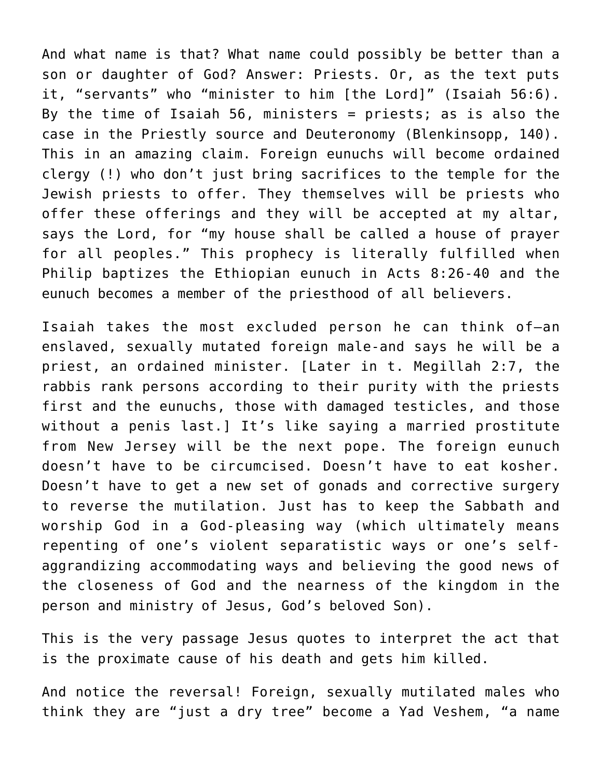And what name is that? What name could possibly be better than a son or daughter of God? Answer: Priests. Or, as the text puts it, "servants" who "minister to him [the Lord]" (Isaiah 56:6). By the time of Isaiah 56, ministers  $=$  priests; as is also the case in the Priestly source and Deuteronomy (Blenkinsopp, 140). This in an amazing claim. Foreign eunuchs will become ordained clergy (!) who don't just bring sacrifices to the temple for the Jewish priests to offer. They themselves will be priests who offer these offerings and they will be accepted at my altar, says the Lord, for "my house shall be called a house of prayer for all peoples." This prophecy is literally fulfilled when Philip baptizes the Ethiopian eunuch in Acts 8:26-40 and the eunuch becomes a member of the priesthood of all believers.

Isaiah takes the most excluded person he can think of—an enslaved, sexually mutated foreign male-and says he will be a priest, an ordained minister. [Later in t. Megillah 2:7, the rabbis rank persons according to their purity with the priests first and the eunuchs, those with damaged testicles, and those without a penis last.] It's like saying a married prostitute from New Jersey will be the next pope. The foreign eunuch doesn't have to be circumcised. Doesn't have to eat kosher. Doesn't have to get a new set of gonads and corrective surgery to reverse the mutilation. Just has to keep the Sabbath and worship God in a God-pleasing way (which ultimately means repenting of one's violent separatistic ways or one's selfaggrandizing accommodating ways and believing the good news of the closeness of God and the nearness of the kingdom in the person and ministry of Jesus, God's beloved Son).

This is the very passage Jesus quotes to interpret the act that is the proximate cause of his death and gets him killed.

And notice the reversal! Foreign, sexually mutilated males who think they are "just a dry tree" become a Yad Veshem, "a name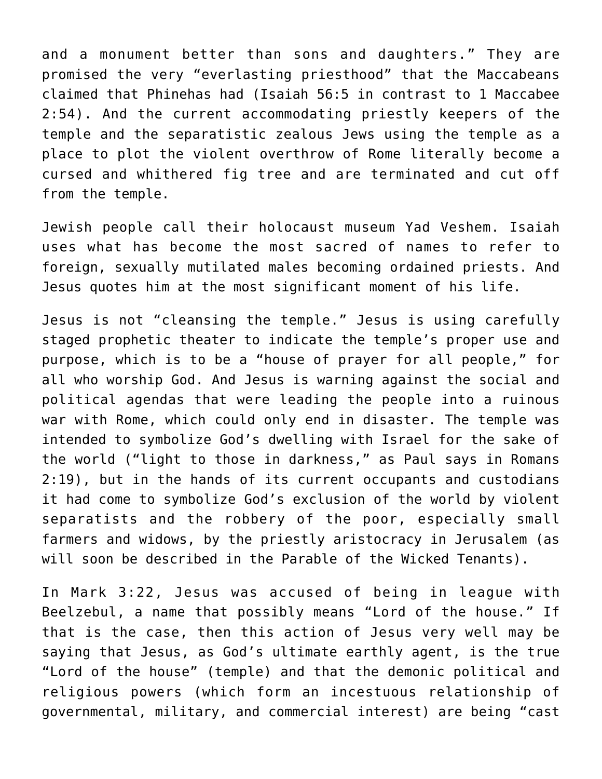and a monument better than sons and daughters." They are promised the very "everlasting priesthood" that the Maccabeans claimed that Phinehas had (Isaiah 56:5 in contrast to 1 Maccabee 2:54). And the current accommodating priestly keepers of the temple and the separatistic zealous Jews using the temple as a place to plot the violent overthrow of Rome literally become a cursed and whithered fig tree and are terminated and cut off from the temple.

Jewish people call their holocaust museum Yad Veshem. Isaiah uses what has become the most sacred of names to refer to foreign, sexually mutilated males becoming ordained priests. And Jesus quotes him at the most significant moment of his life.

Jesus is not "cleansing the temple." Jesus is using carefully staged prophetic theater to indicate the temple's proper use and purpose, which is to be a "house of prayer for all people," for all who worship God. And Jesus is warning against the social and political agendas that were leading the people into a ruinous war with Rome, which could only end in disaster. The temple was intended to symbolize God's dwelling with Israel for the sake of the world ("light to those in darkness," as Paul says in Romans 2:19), but in the hands of its current occupants and custodians it had come to symbolize God's exclusion of the world by violent separatists and the robbery of the poor, especially small farmers and widows, by the priestly aristocracy in Jerusalem (as will soon be described in the Parable of the Wicked Tenants).

In Mark 3:22, Jesus was accused of being in league with Beelzebul, a name that possibly means "Lord of the house." If that is the case, then this action of Jesus very well may be saying that Jesus, as God's ultimate earthly agent, is the true "Lord of the house" (temple) and that the demonic political and religious powers (which form an incestuous relationship of governmental, military, and commercial interest) are being "cast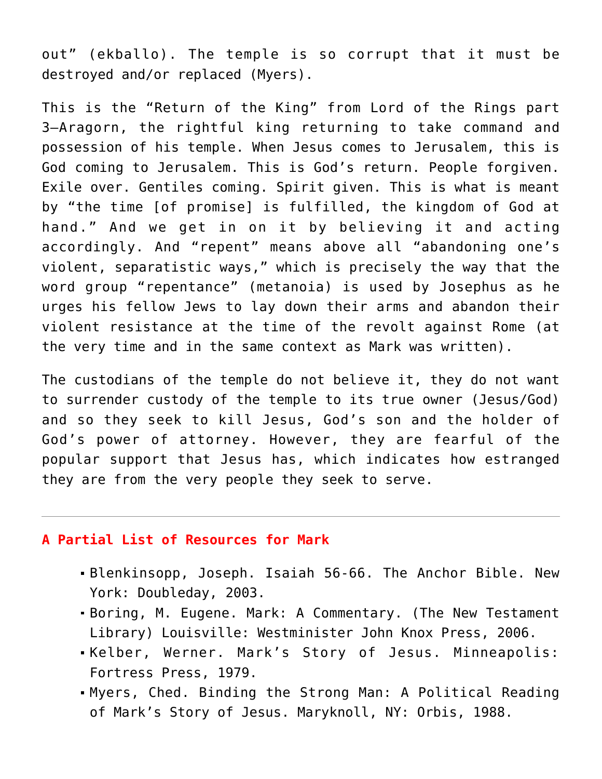out" (ekballo). The temple is so corrupt that it must be destroyed and/or replaced (Myers).

This is the "Return of the King" from Lord of the Rings part 3—Aragorn, the rightful king returning to take command and possession of his temple. When Jesus comes to Jerusalem, this is God coming to Jerusalem. This is God's return. People forgiven. Exile over. Gentiles coming. Spirit given. This is what is meant by "the time [of promise] is fulfilled, the kingdom of God at hand." And we get in on it by believing it and acting accordingly. And "repent" means above all "abandoning one's violent, separatistic ways," which is precisely the way that the word group "repentance" (metanoia) is used by Josephus as he urges his fellow Jews to lay down their arms and abandon their violent resistance at the time of the revolt against Rome (at the very time and in the same context as Mark was written).

The custodians of the temple do not believe it, they do not want to surrender custody of the temple to its true owner (Jesus/God) and so they seek to kill Jesus, God's son and the holder of God's power of attorney. However, they are fearful of the popular support that Jesus has, which indicates how estranged they are from the very people they seek to serve.

## **A Partial List of Resources for Mark**

- Blenkinsopp, Joseph. Isaiah 56-66. The Anchor Bible. New York: Doubleday, 2003.
- Boring, M. Eugene. Mark: A Commentary. (The New Testament Library) Louisville: Westminister John Knox Press, 2006.
- Kelber, Werner. Mark's Story of Jesus. Minneapolis: Fortress Press, 1979.
- Myers, Ched. Binding the Strong Man: A Political Reading of Mark's Story of Jesus. Maryknoll, NY: Orbis, 1988.